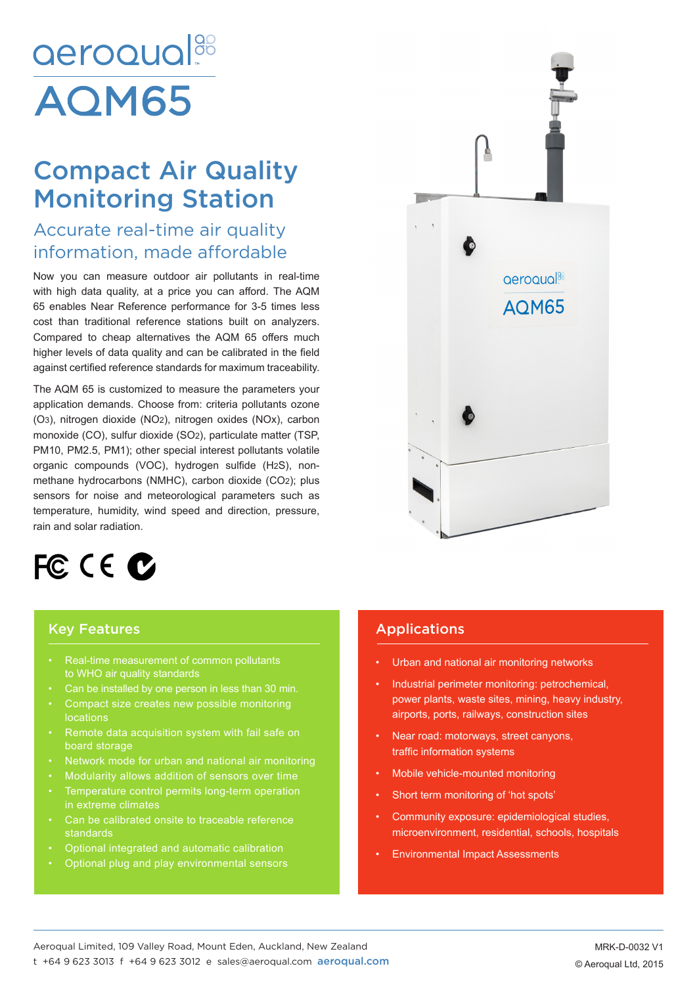# aeroqual<sup>88</sup> **AOM65**

## Compact Air Quality Monitoring Station

### Accurate real-time air quality information, made affordable

Now you can measure outdoor air pollutants in real-time with high data quality, at a price you can afford. The AQM 65 enables Near Reference performance for 3-5 times less cost than traditional reference stations built on analyzers. Compared to cheap alternatives the AQM 65 offers much higher levels of data quality and can be calibrated in the field against certified reference standards for maximum traceability.

The AQM 65 is customized to measure the parameters your application demands. Choose from: criteria pollutants ozone (O3), nitrogen dioxide (NO2), nitrogen oxides (NOx), carbon monoxide (CO), sulfur dioxide (SO2), particulate matter (TSP, PM10, PM2.5, PM1); other special interest pollutants volatile organic compounds (VOC), hydrogen sulfide (H2S), nonmethane hydrocarbons (NMHC), carbon dioxide (CO2); plus sensors for noise and meteorological parameters such as temperature, humidity, wind speed and direction, pressure, rain and solar radiation.



#### Key Features

- Real-time measurement of common pollutants to WHO air quality standards
- Can be installed by one person in less than 30 min.
- locations
- Remote data acquisition system with fail safe on board storage
- 
- Modularity allows addition of sensors over time
- Temperature control permits long-term operation in extreme climates
- 
- Optional integrated and automatic calibration
- Optional plug and play environmental sensors



#### Applications

- Urban and national air monitoring networks
- Industrial perimeter monitoring: petrochemical, power plants, waste sites, mining, heavy industry, airports, ports, railways, construction sites
- Near road: motorways, street canyons, traffic information systems
- Mobile vehicle-mounted monitoring
- Short term monitoring of 'hot spots'
- Community exposure: epidemiological studies, microenvironment, residential, schools, hospitals
- Environmental Impact Assessments